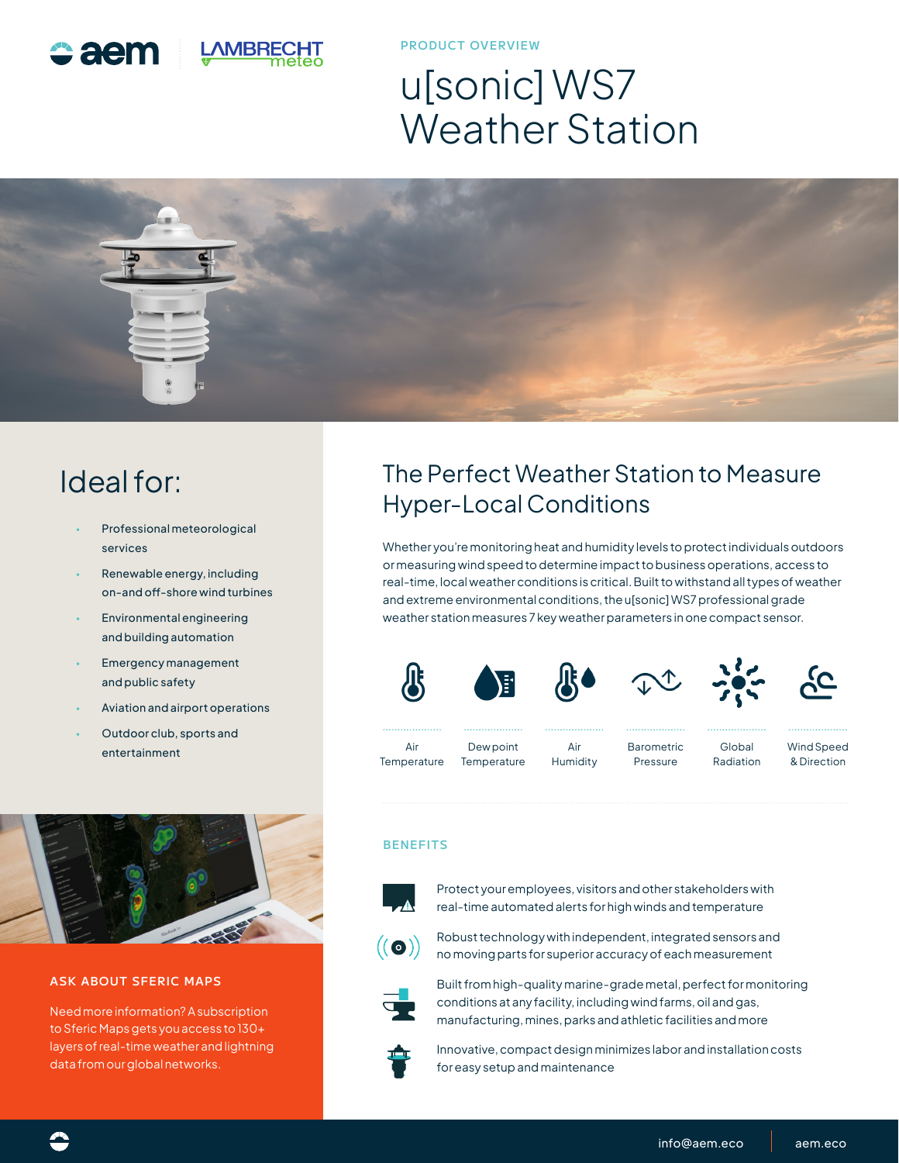

**PRODUCT OVERVIEW**

# u[sonic] WS7 Weather Station



## Ideal for:

- Professional meteorological services
- Renewable energy, including on-and off-shore wind turbines
- Environmental engineering and building automation
- Emergency management and public safety
- Aviation and airport operations
- Outdoor club, sports and entertainment Air



#### **ASK ABOUT SFERIC MAPS**

Need more information? A subscription to Sferic Maps gets you access to 130+ layers of real-time weather and lightning data from our global networks.

### The Perfect Weather Station to Measure Hyper-Local Conditions

Whether you're monitoring heat and humidity levels to protect individuals outdoors or measuring wind speed to determine impact to business operations, access to real-time, local weather conditions is critical. Built to withstand all types of weather and extreme environmental conditions, the u[sonic] WS7 professional grade weather station measures 7 key weather parameters in one compact sensor.



#### **BENEFITS**



Protect your employees, visitors and other stakeholders with real-time automated alerts for high winds and temperature



Robust technology with independent, integrated sensors and no moving parts for superior accuracy of each measurement



Built from high-quality marine-grade metal, perfect for monitoring conditions at any facility, including wind farms, oil and gas, manufacturing, mines, parks and athletic facilities and more



Innovative, compact design minimizes labor and installation costs for easy setup and maintenance